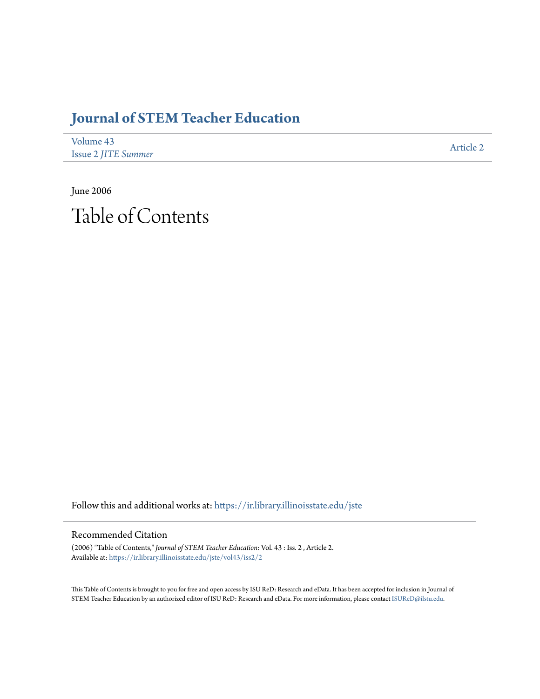# **[Journal of STEM Teacher Education](https://ir.library.illinoisstate.edu/jste?utm_source=ir.library.illinoisstate.edu%2Fjste%2Fvol43%2Fiss2%2F2&utm_medium=PDF&utm_campaign=PDFCoverPages)**

| Volume 43                  | Article 2 |
|----------------------------|-----------|
| <b>Issue 2 JITE Summer</b> |           |

June 2006 Table of Contents

Follow this and additional works at: [https://ir.library.illinoisstate.edu/jste](https://ir.library.illinoisstate.edu/jste?utm_source=ir.library.illinoisstate.edu%2Fjste%2Fvol43%2Fiss2%2F2&utm_medium=PDF&utm_campaign=PDFCoverPages)

#### Recommended Citation

(2006) "Table of Contents," *Journal of STEM Teacher Education*: Vol. 43 : Iss. 2 , Article 2. Available at: [https://ir.library.illinoisstate.edu/jste/vol43/iss2/2](https://ir.library.illinoisstate.edu/jste/vol43/iss2/2?utm_source=ir.library.illinoisstate.edu%2Fjste%2Fvol43%2Fiss2%2F2&utm_medium=PDF&utm_campaign=PDFCoverPages)

This Table of Contents is brought to you for free and open access by ISU ReD: Research and eData. It has been accepted for inclusion in Journal of STEM Teacher Education by an authorized editor of ISU ReD: Research and eData. For more information, please contact [ISUReD@ilstu.edu.](mailto:ISUReD@ilstu.edu)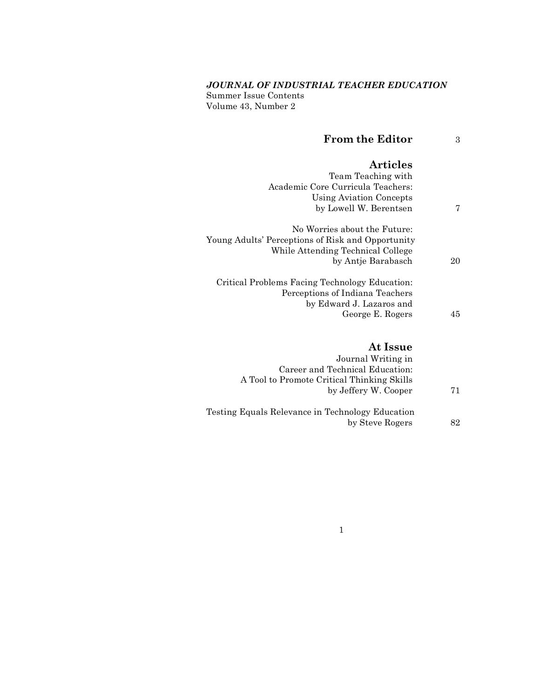### *JOURNAL OF INDUSTRIAL TEACHER EDUCATION*

Summer Issue Contents Volume 43, Number 2

| <b>From the Editor</b> |  |
|------------------------|--|
|                        |  |

# **Articles**

|    | Team Teaching with                                |
|----|---------------------------------------------------|
|    | Academic Core Curricula Teachers:                 |
|    | Using Aviation Concepts                           |
| 7  | by Lowell W. Berentsen                            |
|    | No Worries about the Future:                      |
|    | Young Adults' Perceptions of Risk and Opportunity |
|    | While Attending Technical College                 |
| 20 | by Antie Barabasch                                |
|    | Critical Problems Facing Technology Education:    |
|    | Perceptions of Indiana Teachers                   |
|    | by Edward J. Lazaros and                          |
| 45 | George E. Rogers                                  |
|    |                                                   |

### **At Issue**

|                                                  | Journal Writing in              |    |
|--------------------------------------------------|---------------------------------|----|
|                                                  | Career and Technical Education: |    |
| A Tool to Promote Critical Thinking Skills       |                                 |    |
|                                                  | by Jeffery W. Cooper            | 71 |
| Testing Equals Relevance in Technology Education |                                 |    |
|                                                  | by Steve Rogers                 | 82 |
|                                                  |                                 |    |

#### 1